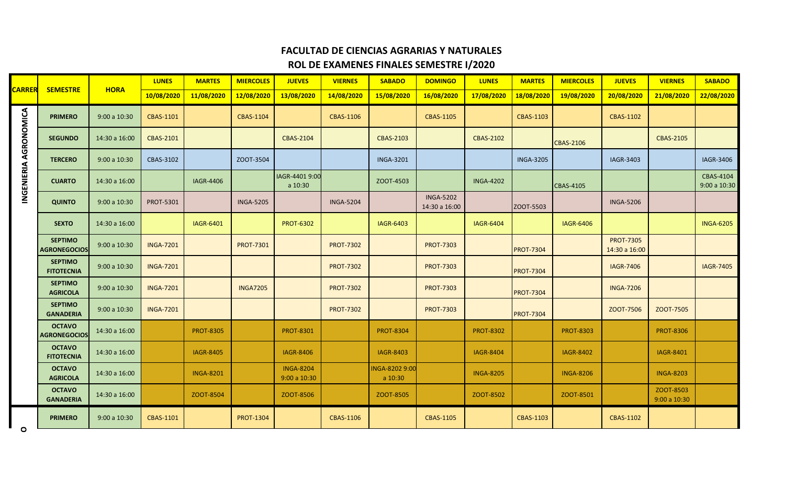## **FACULTAD DE CIENCIAS AGRARIAS Y NATURALES ROL DE EXAMENES FINALES SEMESTRE I/2020**

|                              |                                       | <b>HORA</b>   | <b>LUNES</b>     | <b>MARTES</b>    | <b>MIERCOLES</b> | <b>JUEVES</b>                   | <b>VIERNES</b>   | <b>SABADO</b>             | <b>DOMINGO</b>                    | <b>LUNES</b>     | <b>MARTES</b>    | <b>MIERCOLES</b> | <b>JUEVES</b>                     | <b>VIERNES</b>           | <b>SABADO</b>            |
|------------------------------|---------------------------------------|---------------|------------------|------------------|------------------|---------------------------------|------------------|---------------------------|-----------------------------------|------------------|------------------|------------------|-----------------------------------|--------------------------|--------------------------|
| <b>CARRER</b>                | <b>SEMESTRE</b>                       |               | 10/08/2020       | 11/08/2020       | 12/08/2020       | 13/08/2020                      | 14/08/2020       | 15/08/2020                | 16/08/2020                        | 17/08/2020       | 18/08/2020       | 19/08/2020       | 20/08/2020                        | 21/08/2020               | 22/08/2020               |
|                              | <b>PRIMERO</b>                        | 9:00a 10:30   | CBAS-1101        |                  | CBAS-1104        |                                 | CBAS-1106        |                           | <b>CBAS-1105</b>                  |                  | CBAS-1103        |                  | CBAS-1102                         |                          |                          |
|                              | <b>SEGUNDO</b>                        | 14:30 a 16:00 | <b>CBAS-2101</b> |                  |                  | <b>CBAS-2104</b>                |                  | <b>CBAS-2103</b>          |                                   | <b>CBAS-2102</b> |                  | <b>CBAS-2106</b> |                                   | <b>CBAS-2105</b>         |                          |
|                              | <b>TERCERO</b>                        | 9:00a 10:30   | CBAS-3102        |                  | ZOOT-3504        |                                 |                  | <b>INGA-3201</b>          |                                   |                  | <b>INGA-3205</b> |                  | IAGR-3403                         |                          | <b>IAGR-3406</b>         |
| <b>INGENIERIA AGRONOMICA</b> | <b>CUARTO</b>                         | 14:30 a 16:00 |                  | <b>IAGR-4406</b> |                  | IAGR-4401 9:00<br>a 10:30       |                  | ZOOT-4503                 |                                   | <b>INGA-4202</b> |                  | CBAS-4105        |                                   |                          | CBAS-4104<br>9:00a 10:30 |
|                              | <b>QUINTO</b>                         | 9:00a 10:30   | <b>PROT-5301</b> |                  | <b>INGA-5205</b> |                                 | <b>INGA-5204</b> |                           | <b>INGA-5202</b><br>14:30 a 16:00 |                  | ZOOT-5503        |                  | <b>INGA-5206</b>                  |                          |                          |
|                              | <b>SEXTO</b>                          | 14:30 a 16:00 |                  | IAGR-6401        |                  | <b>PROT-6302</b>                |                  | <b>IAGR-6403</b>          |                                   | <b>IAGR-6404</b> |                  | <b>IAGR-6406</b> |                                   |                          | <b>INGA-6205</b>         |
|                              | <b>SEPTIMO</b><br><b>AGRONEGOCIOS</b> | 9:00a 10:30   | <b>INGA-7201</b> |                  | <b>PROT-7301</b> |                                 | <b>PROT-7302</b> |                           | <b>PROT-7303</b>                  |                  | <b>PROT-7304</b> |                  | <b>PROT-7305</b><br>14:30 a 16:00 |                          |                          |
|                              | <b>SEPTIMO</b><br><b>FITOTECNIA</b>   | 9:00a 10:30   | <b>INGA-7201</b> |                  |                  |                                 | <b>PROT-7302</b> |                           | <b>PROT-7303</b>                  |                  | <b>PROT-7304</b> |                  | <b>IAGR-7406</b>                  |                          | <b>IAGR-7405</b>         |
|                              | <b>SEPTIMO</b><br><b>AGRICOLA</b>     | 9:00a 10:30   | <b>INGA-7201</b> |                  | <b>INGA7205</b>  |                                 | <b>PROT-7302</b> |                           | <b>PROT-7303</b>                  |                  | <b>PROT-7304</b> |                  | <b>INGA-7206</b>                  |                          |                          |
|                              | <b>SEPTIMO</b><br><b>GANADERIA</b>    | 9:00a 10:30   | <b>INGA-7201</b> |                  |                  |                                 | <b>PROT-7302</b> |                           | <b>PROT-7303</b>                  |                  | <b>PROT-7304</b> |                  | ZOOT-7506                         | ZOOT-7505                |                          |
|                              | <b>OCTAVO</b><br><b>AGRONEGOCIOS</b>  | 14:30 a 16:00 |                  | <b>PROT-8305</b> |                  | <b>PROT-8301</b>                |                  | <b>PROT-8304</b>          |                                   | <b>PROT-8302</b> |                  | <b>PROT-8303</b> |                                   | <b>PROT-8306</b>         |                          |
|                              | <b>OCTAVO</b><br><b>FITOTECNIA</b>    | 14:30 a 16:00 |                  | <b>IAGR-8405</b> |                  | <b>IAGR-8406</b>                |                  | <b>IAGR-8403</b>          |                                   | <b>IAGR-8404</b> |                  | <b>IAGR-8402</b> |                                   | IAGR-8401                |                          |
|                              | <b>OCTAVO</b><br><b>AGRICOLA</b>      | 14:30 a 16:00 |                  | <b>INGA-8201</b> |                  | <b>INGA-8204</b><br>9:00a 10:30 |                  | INGA-8202 9:00<br>a 10:30 |                                   | <b>INGA-8205</b> |                  | <b>INGA-8206</b> |                                   | <b>INGA-8203</b>         |                          |
|                              | <b>OCTAVO</b><br><b>GANADERIA</b>     | 14:30 a 16:00 |                  | ZOOT-8504        |                  | ZOOT-8506                       |                  | ZOOT-8505                 |                                   | ZOOT-8502        |                  | ZOOT-8501        |                                   | ZOOT-8503<br>9:00a 10:30 |                          |
| $\circ$                      | <b>PRIMERO</b>                        | 9:00a 10:30   | CBAS-1101        |                  | <b>PROT-1304</b> |                                 | CBAS-1106        |                           | <b>CBAS-1105</b>                  |                  | CBAS-1103        |                  | CBAS-1102                         |                          |                          |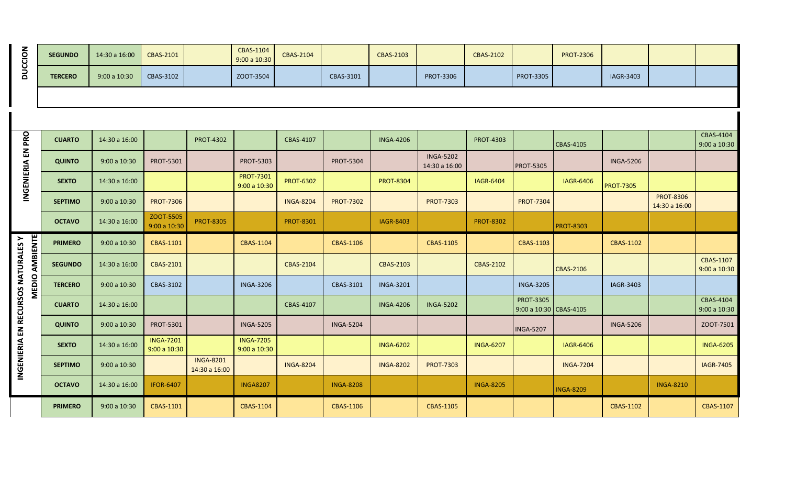| <b>DUCCION</b>                                              | <b>SEGUNDO</b> | 14:30 a 16:00 | <b>CBAS-2101</b>                 |                                   | <b>CBAS-1104</b><br>9:00 a 10:30 | <b>CBAS-2104</b> |                  | <b>CBAS-2103</b> |                                   | <b>CBAS-2102</b> |                                            | <b>PROT-2306</b> |                  |                                   |                                   |
|-------------------------------------------------------------|----------------|---------------|----------------------------------|-----------------------------------|----------------------------------|------------------|------------------|------------------|-----------------------------------|------------------|--------------------------------------------|------------------|------------------|-----------------------------------|-----------------------------------|
|                                                             | <b>TERCERO</b> | 9:00a 10:30   | CBAS-3102                        |                                   | ZOOT-3504                        |                  | CBAS-3101        |                  | <b>PROT-3306</b>                  |                  | <b>PROT-3305</b>                           |                  | IAGR-3403        |                                   |                                   |
|                                                             |                |               |                                  |                                   |                                  |                  |                  |                  |                                   |                  |                                            |                  |                  |                                   |                                   |
|                                                             |                |               |                                  |                                   |                                  |                  |                  |                  |                                   |                  |                                            |                  |                  |                                   |                                   |
|                                                             | <b>CUARTO</b>  | 14:30 a 16:00 |                                  | <b>PROT-4302</b>                  |                                  | CBAS-4107        |                  | <b>INGA-4206</b> |                                   | <b>PROT-4303</b> |                                            | CBAS-4105        |                  |                                   | CBAS-4104<br>9:00 a 10:30         |
| INGENIERIA EN PRO                                           | <b>QUINTO</b>  | 9:00a 10:30   | <b>PROT-5301</b>                 |                                   | <b>PROT-5303</b>                 |                  | <b>PROT-5304</b> |                  | <b>INGA-5202</b><br>14:30 a 16:00 |                  | <b>PROT-5305</b>                           |                  | <b>INGA-5206</b> |                                   |                                   |
|                                                             | <b>SEXTO</b>   | 14:30 a 16:00 |                                  |                                   | <b>PROT-7301</b><br>9:00 a 10:30 | <b>PROT-6302</b> |                  | <b>PROT-8304</b> |                                   | <b>IAGR-6404</b> |                                            | <b>IAGR-6406</b> | <b>PROT-7305</b> |                                   |                                   |
|                                                             | <b>SEPTIMO</b> | 9:00 a 10:30  | <b>PROT-7306</b>                 |                                   |                                  | <b>INGA-8204</b> | <b>PROT-7302</b> |                  | <b>PROT-7303</b>                  |                  | <b>PROT-7304</b>                           |                  |                  | <b>PROT-8306</b><br>14:30 a 16:00 |                                   |
|                                                             | <b>OCTAVO</b>  | 14:30 a 16:00 | ZOOT-5505<br>9:00 a 10:30        | <b>PROT-8305</b>                  |                                  | <b>PROT-8301</b> |                  | <b>IAGR-8403</b> |                                   | <b>PROT-8302</b> |                                            | <b>PROT-8303</b> |                  |                                   |                                   |
|                                                             | <b>PRIMERO</b> | 9:00 a 10:30  | CBAS-1101                        |                                   | CBAS-1104                        |                  | CBAS-1106        |                  | <b>CBAS-1105</b>                  |                  | <b>CBAS-1103</b>                           |                  | CBAS-1102        |                                   |                                   |
| <b>MEDIO AMBIENTE</b><br>INGENIERIA EN RECURSOS NATURALES Y | <b>SEGUNDO</b> | 14:30 a 16:00 | <b>CBAS-2101</b>                 |                                   |                                  | <b>CBAS-2104</b> |                  | <b>CBAS-2103</b> |                                   | <b>CBAS-2102</b> |                                            | <b>CBAS-2106</b> |                  |                                   | <b>CBAS-1107</b><br>$9:00a$ 10:30 |
|                                                             | <b>TERCERO</b> | 9:00 a 10:30  | CBAS-3102                        |                                   | <b>INGA-3206</b>                 |                  | CBAS-3101        | <b>INGA-3201</b> |                                   |                  | <b>INGA-3205</b>                           |                  | IAGR-3403        |                                   |                                   |
|                                                             | <b>CUARTO</b>  | 14:30 a 16:00 |                                  |                                   |                                  | CBAS-4107        |                  | <b>INGA-4206</b> | <b>INGA-5202</b>                  |                  | <b>PROT-3305</b><br>9:00 a 10:30 CBAS-4105 |                  |                  |                                   | <b>CBAS-4104</b><br>9:00a 10:30   |
|                                                             | <b>QUINTO</b>  | 9:00a 10:30   | <b>PROT-5301</b>                 |                                   | <b>INGA-5205</b>                 |                  | <b>INGA-5204</b> |                  |                                   |                  | <b>INGA-5207</b>                           |                  | <b>INGA-5206</b> |                                   | ZOOT-7501                         |
|                                                             | <b>SEXTO</b>   | 14:30 a 16:00 | <b>INGA-7201</b><br>9:00 a 10:30 |                                   | <b>INGA-7205</b><br>9:00 a 10:30 |                  |                  | <b>INGA-6202</b> |                                   | <b>INGA-6207</b> |                                            | <b>IAGR-6406</b> |                  |                                   | <b>INGA-6205</b>                  |
|                                                             | <b>SEPTIMO</b> | 9:00a 10:30   |                                  | <b>INGA-8201</b><br>14:30 a 16:00 |                                  | <b>INGA-8204</b> |                  | <b>INGA-8202</b> | <b>PROT-7303</b>                  |                  |                                            | <b>INGA-7204</b> |                  |                                   | <b>IAGR-7405</b>                  |
|                                                             | <b>OCTAVO</b>  | 14:30 a 16:00 | <b>IFOR-6407</b>                 |                                   | <b>INGA8207</b>                  |                  | <b>INGA-8208</b> |                  |                                   | <b>INGA-8205</b> |                                            | <b>INGA-8209</b> |                  | <b>INGA-8210</b>                  |                                   |
|                                                             | <b>PRIMERO</b> | 9:00a 10:30   | CBAS-1101                        |                                   | <b>CBAS-1104</b>                 |                  | CBAS-1106        |                  | CBAS-1105                         |                  |                                            |                  | <b>CBAS-1102</b> |                                   | CBAS-1107                         |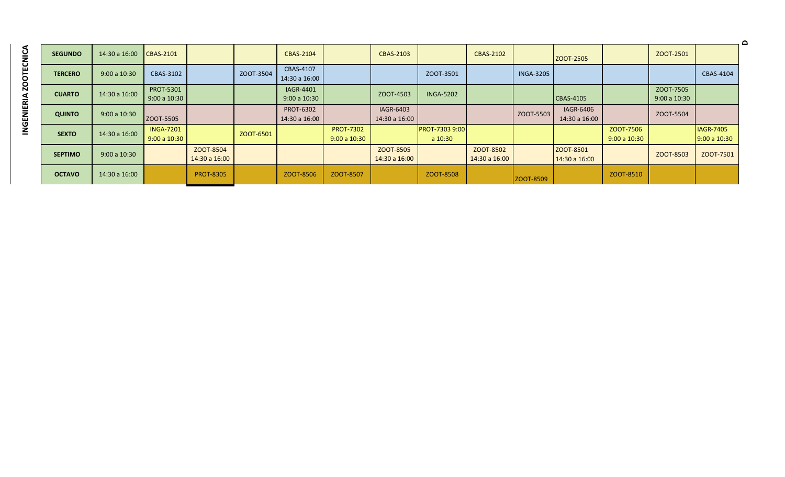| ť |
|---|
|   |
|   |
|   |
|   |
|   |
|   |
| r |
|   |
|   |
|   |
|   |
|   |
|   |
|   |
|   |

|                |               |                                 |                            |           |                                   |                                 |                            |                                  |                            |                  |                                   |                          |                          |                                 | $\Omega$ |
|----------------|---------------|---------------------------------|----------------------------|-----------|-----------------------------------|---------------------------------|----------------------------|----------------------------------|----------------------------|------------------|-----------------------------------|--------------------------|--------------------------|---------------------------------|----------|
| <b>SEGUNDO</b> | 14:30 a 16:00 | $CBAS-2101$                     |                            |           | CBAS-2104                         |                                 | CBAS-2103                  |                                  | CBAS-2102                  |                  | ZOOT-2505                         |                          | ZOOT-2501                |                                 |          |
| <b>TERCERO</b> | 9:00a 10:30   | CBAS-3102                       |                            | ZOOT-3504 | CBAS-4107<br>14:30 a 16:00        |                                 |                            | ZOOT-3501                        |                            | <b>INGA-3205</b> |                                   |                          |                          | CBAS-4104                       |          |
| <b>CUARTO</b>  | 14:30 a 16:00 | <b>PROT-5301</b><br>9:00a 10:30 |                            |           | <b>IAGR-4401</b><br>9:00a 10:30   |                                 | ZOOT-4503                  | <b>INGA-5202</b>                 |                            |                  | CBAS-4105                         |                          | ZOOT-7505<br>9:00a 10:30 |                                 |          |
| <b>QUINTO</b>  | 9:00a 10:30   | ZOOT-5505                       |                            |           | <b>PROT-6302</b><br>14:30 a 16:00 |                                 | IAGR-6403<br>14:30 a 16:00 |                                  |                            | ZOOT-5503        | <b>IAGR-6406</b><br>14:30 a 16:00 |                          | ZOOT-5504                |                                 |          |
| <b>SEXTO</b>   | 14:30 a 16:00 | <b>INGA-7201</b><br>9:00a 10:30 |                            | ZOOT-6501 |                                   | <b>PROT-7302</b><br>9:00a 10:30 |                            | <b>PROT-7303 9:00</b><br>a 10:30 |                            |                  |                                   | ZOOT-7506<br>9:00a 10:30 |                          | <b>IAGR-7405</b><br>9:00a 10:30 |          |
| <b>SEPTIMO</b> | 9:00a 10:30   |                                 | ZOOT-8504<br>14:30 a 16:00 |           |                                   |                                 | ZOOT-8505<br>14:30 a 16:00 |                                  | ZOOT-8502<br>14:30 a 16:00 |                  | ZOOT-8501<br>14:30 a 16:00        |                          | ZOOT-8503                | ZOOT-7501                       |          |
| <b>OCTAVO</b>  | 14:30 a 16:00 |                                 | <b>PROT-8305</b>           |           | ZOOT-8506                         | ZOOT-8507                       |                            | ZOOT-8508                        |                            | ZOOT-8509        |                                   | ZOOT-8510                |                          |                                 |          |